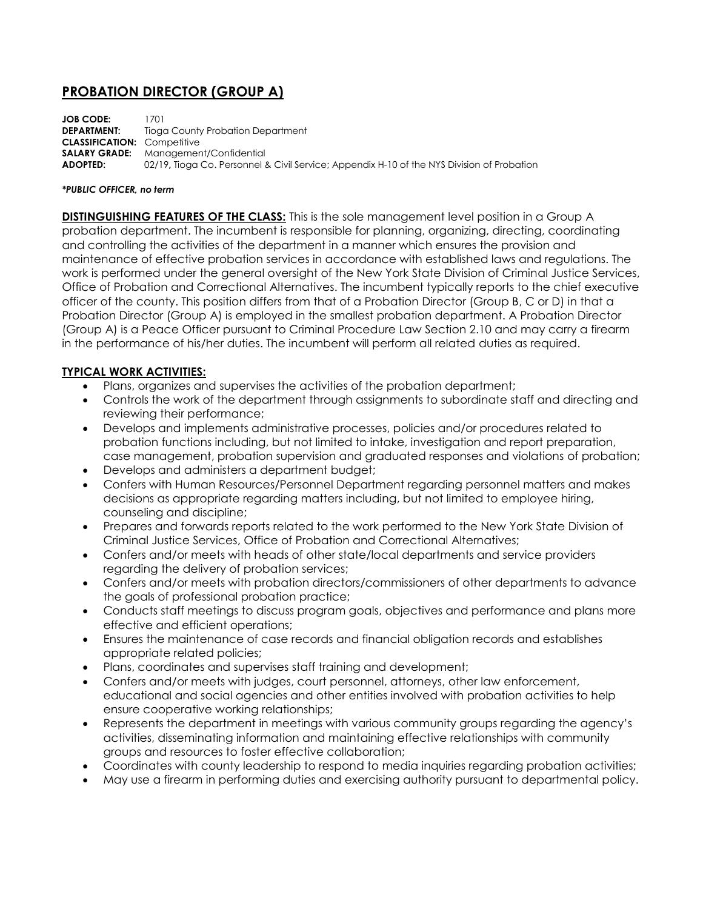# **PROBATION DIRECTOR (GROUP A)**

**JOB CODE:** 1701 **DEPARTMENT:** Tioga County Probation Department **CLASSIFICATION:** Competitive **SALARY GRADE:** Management/Confidential **ADOPTED:** 02/19**,** Tioga Co. Personnel & Civil Service; Appendix H-10 of the NYS Division of Probation

#### *\*PUBLIC OFFICER, no term*

**DISTINGUISHING FEATURES OF THE CLASS:** This is the sole management level position in a Group A probation department. The incumbent is responsible for planning, organizing, directing, coordinating and controlling the activities of the department in a manner which ensures the provision and maintenance of effective probation services in accordance with established laws and regulations. The work is performed under the general oversight of the New York State Division of Criminal Justice Services, Office of Probation and Correctional Alternatives. The incumbent typically reports to the chief executive officer of the county. This position differs from that of a Probation Director (Group B, C or D) in that a Probation Director (Group A) is employed in the smallest probation department. A Probation Director (Group A) is a Peace Officer pursuant to Criminal Procedure Law Section 2.10 and may carry a firearm in the performance of his/her duties. The incumbent will perform all related duties as required.

### **TYPICAL WORK ACTIVITIES:**

- Plans, organizes and supervises the activities of the probation department;
- Controls the work of the department through assignments to subordinate staff and directing and reviewing their performance;
- Develops and implements administrative processes, policies and/or procedures related to probation functions including, but not limited to intake, investigation and report preparation, case management, probation supervision and graduated responses and violations of probation;
- Develops and administers a department budget;
- Confers with Human Resources/Personnel Department regarding personnel matters and makes decisions as appropriate regarding matters including, but not limited to employee hiring, counseling and discipline;
- Prepares and forwards reports related to the work performed to the New York State Division of Criminal Justice Services, Office of Probation and Correctional Alternatives;
- Confers and/or meets with heads of other state/local departments and service providers regarding the delivery of probation services;
- Confers and/or meets with probation directors/commissioners of other departments to advance the goals of professional probation practice;
- Conducts staff meetings to discuss program goals, objectives and performance and plans more effective and efficient operations;
- Ensures the maintenance of case records and financial obligation records and establishes appropriate related policies;
- Plans, coordinates and supervises staff training and development;
- Confers and/or meets with judges, court personnel, attorneys, other law enforcement, educational and social agencies and other entities involved with probation activities to help ensure cooperative working relationships;
- Represents the department in meetings with various community groups regarding the agency's activities, disseminating information and maintaining effective relationships with community groups and resources to foster effective collaboration;
- Coordinates with county leadership to respond to media inquiries regarding probation activities;
- May use a firearm in performing duties and exercising authority pursuant to departmental policy.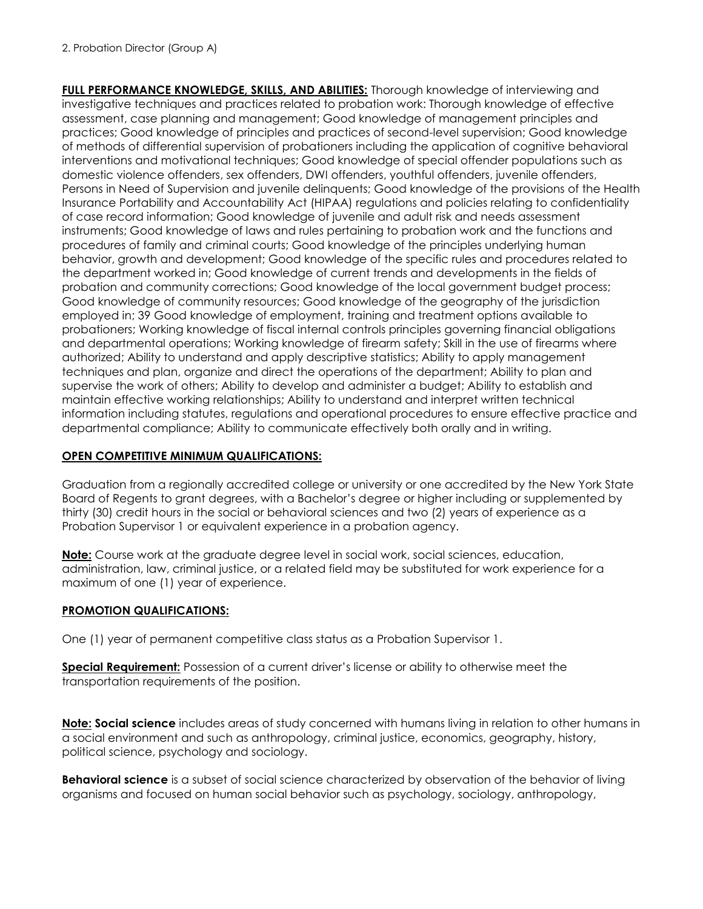**FULL PERFORMANCE KNOWLEDGE, SKILLS, AND ABILITIES:** Thorough knowledge of interviewing and investigative techniques and practices related to probation work: Thorough knowledge of effective assessment, case planning and management; Good knowledge of management principles and practices; Good knowledge of principles and practices of second-level supervision; Good knowledge of methods of differential supervision of probationers including the application of cognitive behavioral interventions and motivational techniques; Good knowledge of special offender populations such as domestic violence offenders, sex offenders, DWI offenders, youthful offenders, juvenile offenders, Persons in Need of Supervision and juvenile delinquents; Good knowledge of the provisions of the Health Insurance Portability and Accountability Act (HIPAA) regulations and policies relating to confidentiality of case record information; Good knowledge of juvenile and adult risk and needs assessment instruments; Good knowledge of laws and rules pertaining to probation work and the functions and procedures of family and criminal courts; Good knowledge of the principles underlying human behavior, growth and development; Good knowledge of the specific rules and procedures related to the department worked in; Good knowledge of current trends and developments in the fields of probation and community corrections; Good knowledge of the local government budget process; Good knowledge of community resources; Good knowledge of the geography of the jurisdiction employed in; 39 Good knowledge of employment, training and treatment options available to probationers; Working knowledge of fiscal internal controls principles governing financial obligations and departmental operations; Working knowledge of firearm safety; Skill in the use of firearms where authorized; Ability to understand and apply descriptive statistics; Ability to apply management techniques and plan, organize and direct the operations of the department; Ability to plan and supervise the work of others; Ability to develop and administer a budget; Ability to establish and maintain effective working relationships; Ability to understand and interpret written technical information including statutes, regulations and operational procedures to ensure effective practice and departmental compliance; Ability to communicate effectively both orally and in writing.

## **OPEN COMPETITIVE MINIMUM QUALIFICATIONS:**

Graduation from a regionally accredited college or university or one accredited by the New York State Board of Regents to grant degrees, with a Bachelor's degree or higher including or supplemented by thirty (30) credit hours in the social or behavioral sciences and two (2) years of experience as a Probation Supervisor 1 or equivalent experience in a probation agency.

**Note:** Course work at the graduate degree level in social work, social sciences, education, administration, law, criminal justice, or a related field may be substituted for work experience for a maximum of one (1) year of experience.

## **PROMOTION QUALIFICATIONS:**

One (1) year of permanent competitive class status as a Probation Supervisor 1.

**Special Requirement:** Possession of a current driver's license or ability to otherwise meet the transportation requirements of the position.

**Note: Social science** includes areas of study concerned with humans living in relation to other humans in a social environment and such as anthropology, criminal justice, economics, geography, history, political science, psychology and sociology.

**Behavioral science** is a subset of social science characterized by observation of the behavior of living organisms and focused on human social behavior such as psychology, sociology, anthropology,